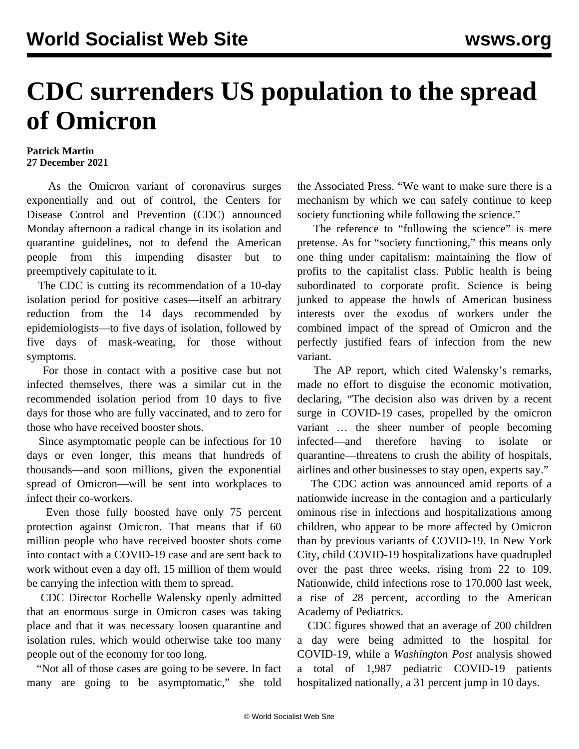## **CDC surrenders US population to the spread of Omicron**

## **Patrick Martin 27 December 2021**

 As the Omicron variant of coronavirus surges exponentially and out of control, the Centers for Disease Control and Prevention (CDC) announced Monday afternoon a radical change in its isolation and quarantine guidelines, not to defend the American people from this impending disaster but to preemptively capitulate to it.

 The CDC is cutting its recommendation of a 10-day isolation period for positive cases—itself an arbitrary reduction from the 14 days recommended by epidemiologists—to five days of isolation, followed by five days of mask-wearing, for those without symptoms.

 For those in contact with a positive case but not infected themselves, there was a similar cut in the recommended isolation period from 10 days to five days for those who are fully vaccinated, and to zero for those who have received booster shots.

 Since asymptomatic people can be infectious for 10 days or even longer, this means that hundreds of thousands—and soon millions, given the exponential spread of Omicron—will be sent into workplaces to infect their co-workers.

 Even those fully boosted have only 75 percent protection against Omicron. That means that if 60 million people who have received booster shots come into contact with a COVID-19 case and are sent back to work without even a day off, 15 million of them would be carrying the infection with them to spread.

 CDC Director Rochelle Walensky openly admitted that an enormous surge in Omicron cases was taking place and that it was necessary loosen quarantine and isolation rules, which would otherwise take too many people out of the economy for too long.

 "Not all of those cases are going to be severe. In fact many are going to be asymptomatic," she told the Associated Press. "We want to make sure there is a mechanism by which we can safely continue to keep society functioning while following the science."

 The reference to "following the science" is mere pretense. As for "society functioning," this means only one thing under capitalism: maintaining the flow of profits to the capitalist class. Public health is being subordinated to corporate profit. Science is being junked to appease the howls of American business interests over the exodus of workers under the combined impact of the spread of Omicron and the perfectly justified fears of infection from the new variant.

 The AP report, which cited Walensky's remarks, made no effort to disguise the economic motivation, declaring, "The decision also was driven by a recent surge in COVID-19 cases, propelled by the omicron variant … the sheer number of people becoming infected—and therefore having to isolate or quarantine—threatens to crush the ability of hospitals, airlines and other businesses to stay open, experts say."

 The CDC action was announced amid reports of a nationwide increase in the contagion and a particularly ominous rise in infections and hospitalizations among children, who appear to be more affected by Omicron than by previous variants of COVID-19. In New York City, child COVID-19 hospitalizations have quadrupled over the past three weeks, rising from 22 to 109. Nationwide, child infections rose to 170,000 last week, a rise of 28 percent, according to the American Academy of Pediatrics.

 CDC figures showed that an average of 200 children a day were being admitted to the hospital for COVID-19, while a *Washington Post* analysis showed a total of 1,987 pediatric COVID-19 patients hospitalized nationally, a 31 percent jump in 10 days.